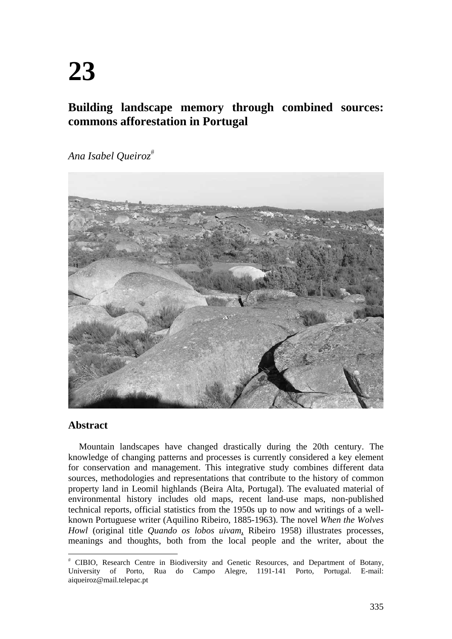# **Building landscape memory through combined sources: commons afforestation in Portugal**

*Ana Isabel Queiroz*



## **Abstract**

 $\overline{a}$ 

Mountain landscapes have changed drastically during the 20th century. The knowledge of changing patterns and processes is currently considered a key element for conservation and management. This integrative study combines different data sources, methodologies and representations that contribute to the history of common property land in Leomil highlands (Beira Alta, Portugal). The evaluated material of environmental history includes old maps, recent land-use maps, non-published technical reports, official statistics from the 1950s up to now and writings of a wellknown Portuguese writer (Aquilino Ribeiro, 1885-1963). The novel *When the Wolves Howl* (original title *Quando os lobos uivam*, Ribeiro 1958) illustrates processes, meanings and thoughts, both from the local people and the writer, about the

 CIBIO, Research Centre in Biodiversity and Genetic Resources, and Department of Botany, University of Porto, Rua do Campo Alegre, 1191-141 Porto, Portugal. E-mail: aiqueiroz@mail.telepac.pt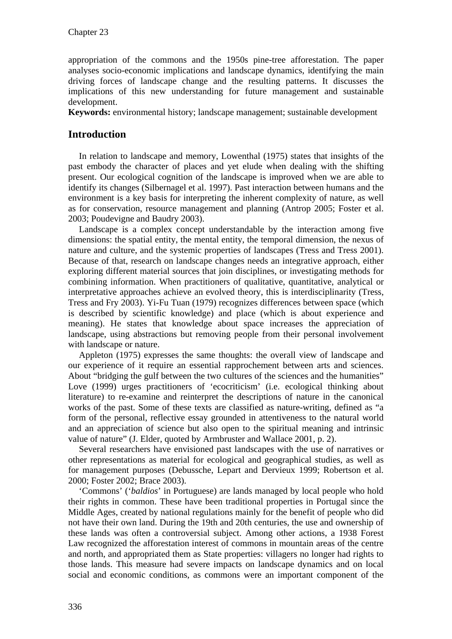appropriation of the commons and the 1950s pine-tree afforestation. The paper analyses socio-economic implications and landscape dynamics, identifying the main driving forces of landscape change and the resulting patterns. It discusses the implications of this new understanding for future management and sustainable development.

**Keywords:** environmental history; landscape management; sustainable development

### **Introduction**

In relation to landscape and memory, Lowenthal (1975) states that insights of the past embody the character of places and yet elude when dealing with the shifting present. Our ecological cognition of the landscape is improved when we are able to identify its changes (Silbernagel et al. 1997). Past interaction between humans and the environment is a key basis for interpreting the inherent complexity of nature, as well as for conservation, resource management and planning (Antrop 2005; Foster et al. 2003; Poudevigne and Baudry 2003).

Landscape is a complex concept understandable by the interaction among five dimensions: the spatial entity, the mental entity, the temporal dimension, the nexus of nature and culture, and the systemic properties of landscapes (Tress and Tress 2001). Because of that, research on landscape changes needs an integrative approach, either exploring different material sources that join disciplines, or investigating methods for combining information. When practitioners of qualitative, quantitative, analytical or interpretative approaches achieve an evolved theory, this is interdisciplinarity (Tress, Tress and Fry 2003). Yi-Fu Tuan (1979) recognizes differences between space (which is described by scientific knowledge) and place (which is about experience and meaning). He states that knowledge about space increases the appreciation of landscape, using abstractions but removing people from their personal involvement with landscape or nature.

Appleton (1975) expresses the same thoughts: the overall view of landscape and our experience of it require an essential rapprochement between arts and sciences. About "bridging the gulf between the two cultures of the sciences and the humanities" Love (1999) urges practitioners of 'ecocriticism' (i.e. ecological thinking about literature) to re-examine and reinterpret the descriptions of nature in the canonical works of the past. Some of these texts are classified as nature-writing, defined as "a form of the personal, reflective essay grounded in attentiveness to the natural world and an appreciation of science but also open to the spiritual meaning and intrinsic value of nature" (J. Elder, quoted by Armbruster and Wallace 2001, p. 2).

Several researchers have envisioned past landscapes with the use of narratives or other representations as material for ecological and geographical studies, as well as for management purposes (Debussche, Lepart and Dervieux 1999; Robertson et al. 2000; Foster 2002; Brace 2003).

'Commons' ('*baldios*' in Portuguese) are lands managed by local people who hold their rights in common. These have been traditional properties in Portugal since the Middle Ages, created by national regulations mainly for the benefit of people who did not have their own land. During the 19th and 20th centuries, the use and ownership of these lands was often a controversial subject. Among other actions, a 1938 Forest Law recognized the afforestation interest of commons in mountain areas of the centre and north, and appropriated them as State properties: villagers no longer had rights to those lands. This measure had severe impacts on landscape dynamics and on local social and economic conditions, as commons were an important component of the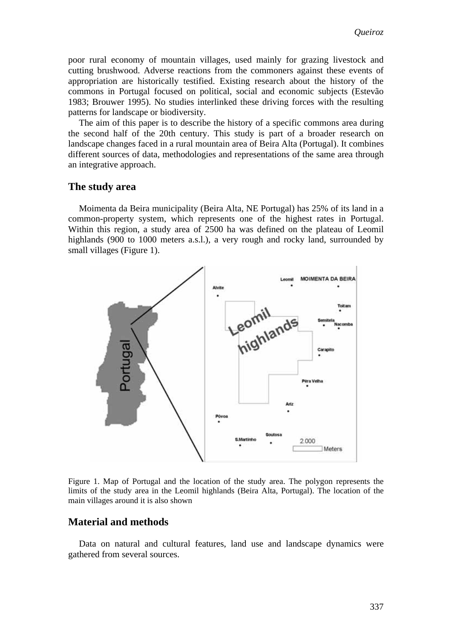poor rural economy of mountain villages, used mainly for grazing livestock and cutting brushwood. Adverse reactions from the commoners against these events of appropriation are historically testified. Existing research about the history of the commons in Portugal focused on political, social and economic subjects (Estevão 1983; Brouwer 1995). No studies interlinked these driving forces with the resulting patterns for landscape or biodiversity.

The aim of this paper is to describe the history of a specific commons area during the second half of the 20th century. This study is part of a broader research on landscape changes faced in a rural mountain area of Beira Alta (Portugal). It combines different sources of data, methodologies and representations of the same area through an integrative approach.

### **The study area**

Moimenta da Beira municipality (Beira Alta, NE Portugal) has 25% of its land in a common-property system, which represents one of the highest rates in Portugal. Within this region, a study area of 2500 ha was defined on the plateau of Leomil highlands (900 to 1000 meters a.s.l.), a very rough and rocky land, surrounded by small villages (Figure 1).



Figure 1. Map of Portugal and the location of the study area. The polygon represents the limits of the study area in the Leomil highlands (Beira Alta, Portugal). The location of the main villages around it is also shown

### **Material and methods**

Data on natural and cultural features, land use and landscape dynamics were gathered from several sources.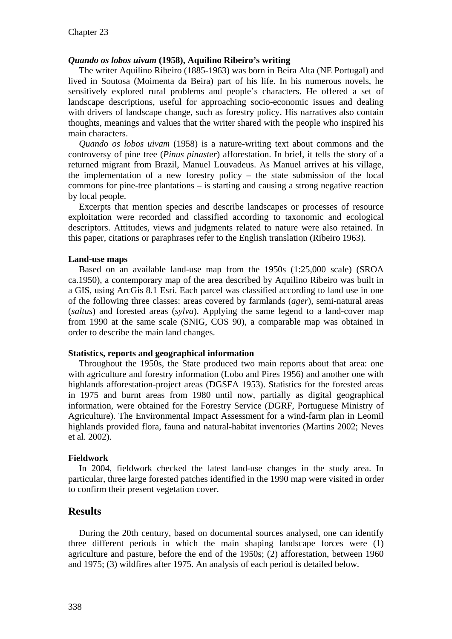#### *Quando os lobos uivam* **(1958), Aquilino Ribeiro's writing**

The writer Aquilino Ribeiro (1885-1963) was born in Beira Alta (NE Portugal) and lived in Soutosa (Moimenta da Beira) part of his life. In his numerous novels, he sensitively explored rural problems and people's characters. He offered a set of landscape descriptions, useful for approaching socio-economic issues and dealing with drivers of landscape change, such as forestry policy. His narratives also contain thoughts, meanings and values that the writer shared with the people who inspired his main characters.

*Quando os lobos uivam* (1958) is a nature-writing text about commons and the controversy of pine tree (*Pinus pinaster*) afforestation. In brief, it tells the story of a returned migrant from Brazil, Manuel Louvadeus. As Manuel arrives at his village, the implementation of a new forestry policy – the state submission of the local commons for pine-tree plantations – is starting and causing a strong negative reaction by local people.

Excerpts that mention species and describe landscapes or processes of resource exploitation were recorded and classified according to taxonomic and ecological descriptors. Attitudes, views and judgments related to nature were also retained. In this paper, citations or paraphrases refer to the English translation (Ribeiro 1963).

#### **Land-use maps**

Based on an available land-use map from the 1950s (1:25,000 scale) (SROA ca.1950), a contemporary map of the area described by Aquilino Ribeiro was built in a GIS, using ArcGis 8.1 Esri. Each parcel was classified according to land use in one of the following three classes: areas covered by farmlands (*ager*), semi-natural areas (*saltus*) and forested areas (*sylva*). Applying the same legend to a land-cover map from 1990 at the same scale (SNIG, COS 90), a comparable map was obtained in order to describe the main land changes.

#### **Statistics, reports and geographical information**

Throughout the 1950s, the State produced two main reports about that area: one with agriculture and forestry information (Lobo and Pires 1956) and another one with highlands afforestation-project areas (DGSFA 1953). Statistics for the forested areas in 1975 and burnt areas from 1980 until now, partially as digital geographical information, were obtained for the Forestry Service (DGRF, Portuguese Ministry of Agriculture). The Environmental Impact Assessment for a wind-farm plan in Leomil highlands provided flora, fauna and natural-habitat inventories (Martins 2002; Neves et al. 2002).

#### **Fieldwork**

In 2004, fieldwork checked the latest land-use changes in the study area. In particular, three large forested patches identified in the 1990 map were visited in order to confirm their present vegetation cover.

### **Results**

During the 20th century, based on documental sources analysed, one can identify three different periods in which the main shaping landscape forces were (1) agriculture and pasture, before the end of the 1950s; (2) afforestation, between 1960 and 1975; (3) wildfires after 1975. An analysis of each period is detailed below.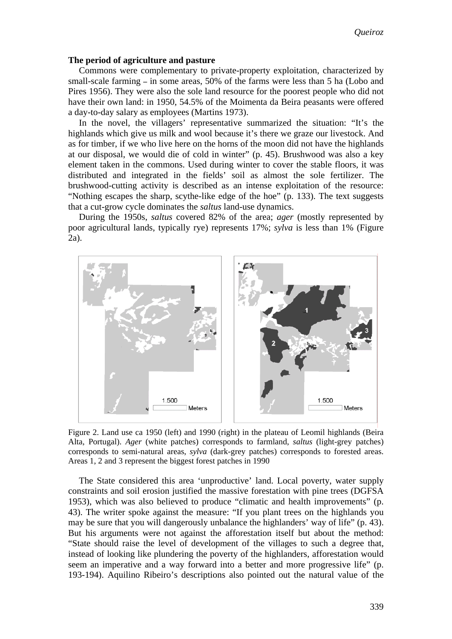#### **The period of agriculture and pasture**

Commons were complementary to private-property exploitation, characterized by small-scale farming **–** in some areas, 50% of the farms were less than 5 ha (Lobo and Pires 1956). They were also the sole land resource for the poorest people who did not have their own land: in 1950, 54.5% of the Moimenta da Beira peasants were offered a day-to-day salary as employees (Martins 1973).

In the novel, the villagers' representative summarized the situation: "It's the highlands which give us milk and wool because it's there we graze our livestock. And as for timber, if we who live here on the horns of the moon did not have the highlands at our disposal, we would die of cold in winter" (p. 45). Brushwood was also a key element taken in the commons. Used during winter to cover the stable floors, it was distributed and integrated in the fields' soil as almost the sole fertilizer. The brushwood-cutting activity is described as an intense exploitation of the resource: "Nothing escapes the sharp, scythe-like edge of the hoe" (p. 133). The text suggests that a cut-grow cycle dominates the *saltus* land-use dynamics.

During the 1950s, *saltus* covered 82% of the area; *ager* (mostly represented by poor agricultural lands, typically rye) represents 17%; *sylva* is less than 1% (Figure 2a).



Figure 2. Land use ca 1950 (left) and 1990 (right) in the plateau of Leomil highlands (Beira Alta, Portugal). *Ager* (white patches) corresponds to farmland, *saltus* (light-grey patches) corresponds to semi-natural areas, *sylva* (dark-grey patches) corresponds to forested areas. Areas 1, 2 and 3 represent the biggest forest patches in 1990

The State considered this area 'unproductive' land. Local poverty, water supply constraints and soil erosion justified the massive forestation with pine trees (DGFSA 1953), which was also believed to produce "climatic and health improvements" (p. 43). The writer spoke against the measure: "If you plant trees on the highlands you may be sure that you will dangerously unbalance the highlanders' way of life" (p. 43). But his arguments were not against the afforestation itself but about the method: "State should raise the level of development of the villages to such a degree that, instead of looking like plundering the poverty of the highlanders, afforestation would seem an imperative and a way forward into a better and more progressive life" (p. 193-194). Aquilino Ribeiro's descriptions also pointed out the natural value of the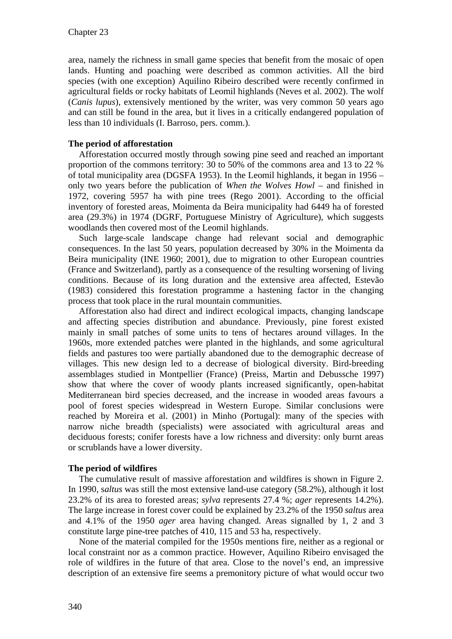area, namely the richness in small game species that benefit from the mosaic of open lands. Hunting and poaching were described as common activities. All the bird species (with one exception) Aquilino Ribeiro described were recently confirmed in agricultural fields or rocky habitats of Leomil highlands (Neves et al. 2002). The wolf (*Canis lupus*), extensively mentioned by the writer, was very common 50 years ago and can still be found in the area, but it lives in a critically endangered population of less than 10 individuals (I. Barroso, pers. comm.).

### **The period of afforestation**

Afforestation occurred mostly through sowing pine seed and reached an important proportion of the commons territory: 30 to 50% of the commons area and 13 to 22 % of total municipality area (DGSFA 1953). In the Leomil highlands, it began in 1956 – only two years before the publication of *When the Wolves Howl* – and finished in 1972, covering 5957 ha with pine trees (Rego 2001). According to the official inventory of forested areas, Moimenta da Beira municipality had 6449 ha of forested area (29.3%) in 1974 (DGRF, Portuguese Ministry of Agriculture), which suggests woodlands then covered most of the Leomil highlands.

Such large-scale landscape change had relevant social and demographic consequences. In the last 50 years, population decreased by 30% in the Moimenta da Beira municipality (INE 1960; 2001), due to migration to other European countries (France and Switzerland), partly as a consequence of the resulting worsening of living conditions. Because of its long duration and the extensive area affected, Estevão (1983) considered this forestation programme a hastening factor in the changing process that took place in the rural mountain communities.

Afforestation also had direct and indirect ecological impacts, changing landscape and affecting species distribution and abundance. Previously, pine forest existed mainly in small patches of some units to tens of hectares around villages. In the 1960s, more extended patches were planted in the highlands, and some agricultural fields and pastures too were partially abandoned due to the demographic decrease of villages. This new design led to a decrease of biological diversity. Bird-breeding assemblages studied in Montpellier (France) (Preiss, Martin and Debussche 1997) show that where the cover of woody plants increased significantly, open-habitat Mediterranean bird species decreased, and the increase in wooded areas favours a pool of forest species widespread in Western Europe. Similar conclusions were reached by Moreira et al. (2001) in Minho (Portugal): many of the species with narrow niche breadth (specialists) were associated with agricultural areas and deciduous forests; conifer forests have a low richness and diversity: only burnt areas or scrublands have a lower diversity.

### **The period of wildfires**

The cumulative result of massive afforestation and wildfires is shown in Figure 2. In 1990, s*altus* was still the most extensive land-use category (58.2%), although it lost 23.2% of its area to forested areas; *sylva* represents 27.4 %; *ager* represents 14.2%). The large increase in forest cover could be explained by 23.2% of the 1950 *saltus* area and 4.1% of the 1950 *ager* area having changed. Areas signalled by 1, 2 and 3 constitute large pine-tree patches of 410, 115 and 53 ha, respectively.

None of the material compiled for the 1950s mentions fire, neither as a regional or local constraint nor as a common practice. However, Aquilino Ribeiro envisaged the role of wildfires in the future of that area. Close to the novel's end, an impressive description of an extensive fire seems a premonitory picture of what would occur two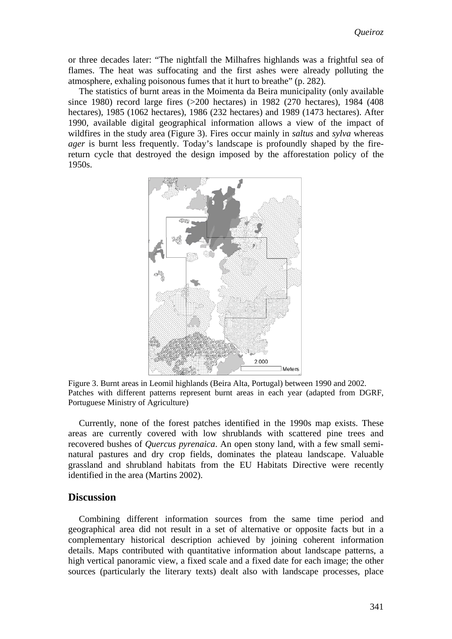or three decades later: "The nightfall the Milhafres highlands was a frightful sea of flames. The heat was suffocating and the first ashes were already polluting the atmosphere, exhaling poisonous fumes that it hurt to breathe" (p. 282)*.*

The statistics of burnt areas in the Moimenta da Beira municipality (only available since 1980) record large fires (>200 hectares) in 1982 (270 hectares), 1984 (408 hectares), 1985 (1062 hectares), 1986 (232 hectares) and 1989 (1473 hectares). After 1990, available digital geographical information allows a view of the impact of wildfires in the study area (Figure 3). Fires occur mainly in *saltus* and *sylva* whereas *ager* is burnt less frequently. Today's landscape is profoundly shaped by the firereturn cycle that destroyed the design imposed by the afforestation policy of the 1950s.



Figure 3. Burnt areas in Leomil highlands (Beira Alta, Portugal) between 1990 and 2002. Patches with different patterns represent burnt areas in each year (adapted from DGRF, Portuguese Ministry of Agriculture)

Currently, none of the forest patches identified in the 1990s map exists. These areas are currently covered with low shrublands with scattered pine trees and recovered bushes of *Quercus pyrenaica*. An open stony land, with a few small seminatural pastures and dry crop fields, dominates the plateau landscape. Valuable grassland and shrubland habitats from the EU Habitats Directive were recently identified in the area (Martins 2002).

### **Discussion**

Combining different information sources from the same time period and geographical area did not result in a set of alternative or opposite facts but in a complementary historical description achieved by joining coherent information details. Maps contributed with quantitative information about landscape patterns, a high vertical panoramic view, a fixed scale and a fixed date for each image; the other sources (particularly the literary texts) dealt also with landscape processes, place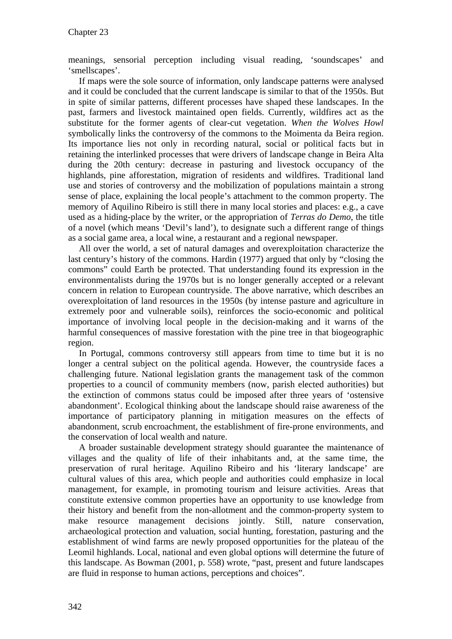meanings, sensorial perception including visual reading, 'soundscapes' and 'smellscapes'.

If maps were the sole source of information, only landscape patterns were analysed and it could be concluded that the current landscape is similar to that of the 1950s. But in spite of similar patterns, different processes have shaped these landscapes. In the past, farmers and livestock maintained open fields. Currently, wildfires act as the substitute for the former agents of clear-cut vegetation. *When the Wolves Howl* symbolically links the controversy of the commons to the Moimenta da Beira region. Its importance lies not only in recording natural, social or political facts but in retaining the interlinked processes that were drivers of landscape change in Beira Alta during the 20th century: decrease in pasturing and livestock occupancy of the highlands, pine afforestation, migration of residents and wildfires. Traditional land use and stories of controversy and the mobilization of populations maintain a strong sense of place, explaining the local people's attachment to the common property. The memory of Aquilino Ribeiro is still there in many local stories and places: e.g., a cave used as a hiding-place by the writer, or the appropriation of *Terras do Demo*, the title of a novel (which means 'Devil's land'), to designate such a different range of things as a social game area, a local wine, a restaurant and a regional newspaper.

All over the world, a set of natural damages and overexploitation characterize the last century's history of the commons. Hardin (1977) argued that only by "closing the commons" could Earth be protected. That understanding found its expression in the environmentalists during the 1970s but is no longer generally accepted or a relevant concern in relation to European countryside. The above narrative, which describes an overexploitation of land resources in the 1950s (by intense pasture and agriculture in extremely poor and vulnerable soils), reinforces the socio-economic and political importance of involving local people in the decision-making and it warns of the harmful consequences of massive forestation with the pine tree in that biogeographic region.

In Portugal, commons controversy still appears from time to time but it is no longer a central subject on the political agenda. However, the countryside faces a challenging future. National legislation grants the management task of the common properties to a council of community members (now, parish elected authorities) but the extinction of commons status could be imposed after three years of 'ostensive abandonment'. Ecological thinking about the landscape should raise awareness of the importance of participatory planning in mitigation measures on the effects of abandonment, scrub encroachment, the establishment of fire-prone environments, and the conservation of local wealth and nature.

A broader sustainable development strategy should guarantee the maintenance of villages and the quality of life of their inhabitants and, at the same time, the preservation of rural heritage. Aquilino Ribeiro and his 'literary landscape' are cultural values of this area, which people and authorities could emphasize in local management, for example, in promoting tourism and leisure activities. Areas that constitute extensive common properties have an opportunity to use knowledge from their history and benefit from the non-allotment and the common-property system to make resource management decisions jointly. Still, nature conservation, archaeological protection and valuation, social hunting, forestation, pasturing and the establishment of wind farms are newly proposed opportunities for the plateau of the Leomil highlands. Local, national and even global options will determine the future of this landscape. As Bowman (2001, p. 558) wrote, "past, present and future landscapes are fluid in response to human actions, perceptions and choices".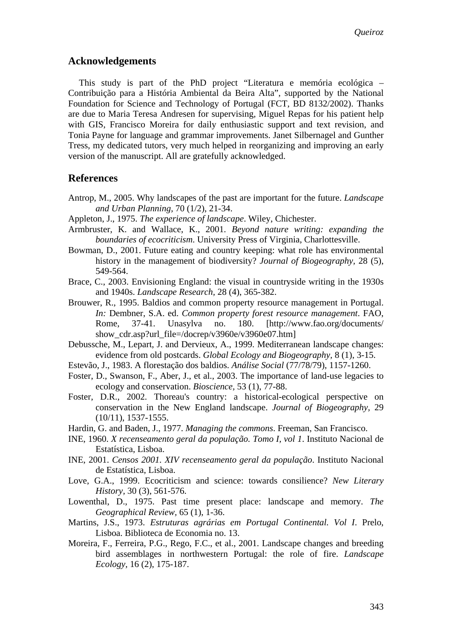### **Acknowledgements**

This study is part of the PhD project "Literatura e memória ecológica – Contribuição para a História Ambiental da Beira Alta", supported by the National Foundation for Science and Technology of Portugal (FCT, BD 8132/2002). Thanks are due to Maria Teresa Andresen for supervising, Miguel Repas for his patient help with GIS, Francisco Moreira for daily enthusiastic support and text revision, and Tonia Payne for language and grammar improvements. Janet Silbernagel and Gunther Tress, my dedicated tutors, very much helped in reorganizing and improving an early version of the manuscript. All are gratefully acknowledged.

### **References**

- Antrop, M., 2005. Why landscapes of the past are important for the future. *Landscape and Urban Planning,* 70 (1/2), 21-34.
- Appleton, J., 1975. *The experience of landscape*. Wiley, Chichester.
- Armbruster, K. and Wallace, K., 2001. *Beyond nature writing: expanding the boundaries of ecocriticism*. University Press of Virginia, Charlottesville.
- Bowman, D., 2001. Future eating and country keeping: what role has environmental history in the management of biodiversity? *Journal of Biogeography,* 28 (5), 549-564.
- Brace, C., 2003. Envisioning England: the visual in countryside writing in the 1930s and 1940s. *Landscape Research,* 28 (4), 365-382.
- Brouwer, R., 1995. Baldios and common property resource management in Portugal. *In:* Dembner, S.A. ed. *Common property forest resource management*. FAO, Rome, 37-41. Unasylva no. 180. [http://www.fao.org/documents/ show cdr.asp?url\_file=/docrep/v3960e/v3960e07.htm]
- Debussche, M., Lepart, J. and Dervieux, A., 1999. Mediterranean landscape changes: evidence from old postcards. *Global Ecology and Biogeography,* 8 (1), 3-15.
- Estevão, J., 1983. A florestação dos baldios. *Análise Social* (77/78/79), 1157-1260.
- Foster, D., Swanson, F., Aber, J., et al., 2003. The importance of land-use legacies to ecology and conservation. *Bioscience,* 53 (1), 77-88.
- Foster, D.R., 2002. Thoreau's country: a historical-ecological perspective on conservation in the New England landscape. *Journal of Biogeography,* 29 (10/11), 1537-1555.
- Hardin, G. and Baden, J., 1977. *Managing the commons*. Freeman, San Francisco.
- INE, 1960. *X recenseamento geral da população. Tomo I, vol 1*. Instituto Nacional de Estatística, Lisboa.
- INE, 2001. *Censos 2001. XIV recenseamento geral da população*. Instituto Nacional de Estatística, Lisboa.
- Love, G.A., 1999. Ecocriticism and science: towards consilience? *New Literary History,* 30 (3), 561-576.
- Lowenthal, D., 1975. Past time present place: landscape and memory. *The Geographical Review,* 65 (1), 1-36.
- Martins, J.S., 1973. *Estruturas agrárias em Portugal Continental. Vol I*. Prelo, Lisboa. Biblioteca de Economia no. 13.
- Moreira, F., Ferreira, P.G., Rego, F.C., et al., 2001. Landscape changes and breeding bird assemblages in northwestern Portugal: the role of fire. *Landscape Ecology,* 16 (2), 175-187.